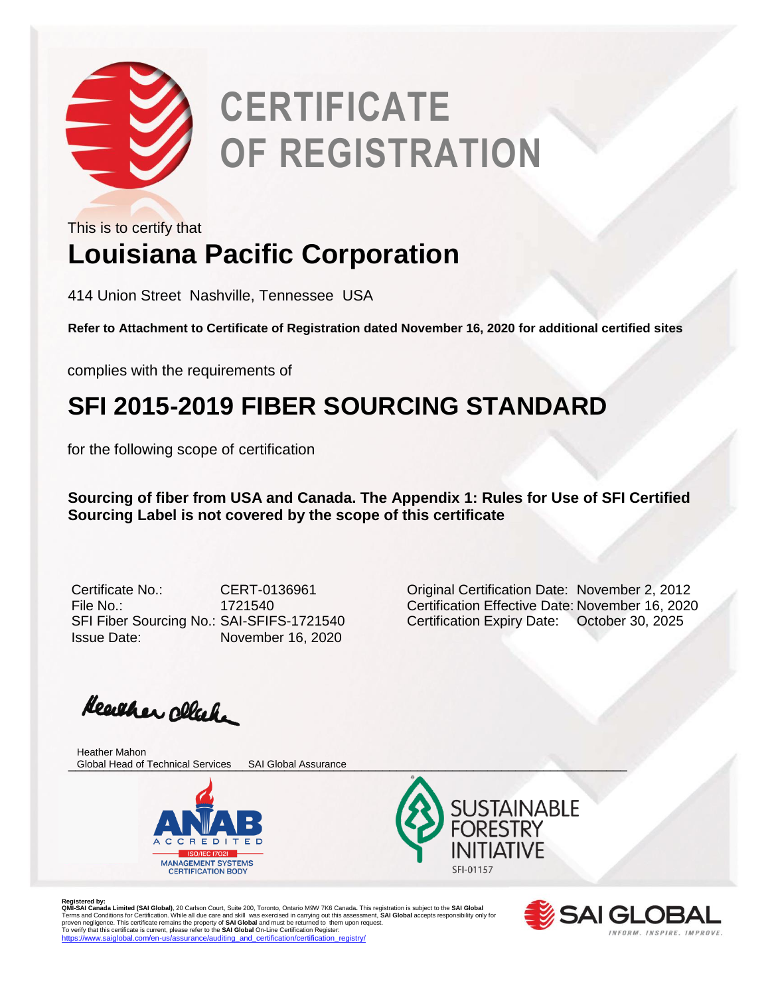

This is to certify that

## **Louisiana Pacific Corporation**

414 Union Street Nashville, Tennessee USA

**Refer to Attachment to Certificate of Registration dated November 16, 2020 for additional certified sites**

complies with the requirements of

### **SFI 2015-2019 FIBER SOURCING STANDARD**

for the following scope of certification

**Sourcing of fiber from USA and Canada. The Appendix 1: Rules for Use of SFI Certified Sourcing Label is not covered by the scope of this certificate** 

SFI Fiber Sourcing No.: SAI-SFIFS-1721540 Certification Expiry Date: October 30, 2025 Issue Date: November 16, 2020

Certificate No.: CERT-0136961 Original Certification Date: November 2, 2012 File No.: 1721540 Certification Effective Date: November 16, 2020

Heather cleak.

\_\_\_\_\_\_\_\_\_\_\_\_\_\_\_\_\_\_\_\_\_\_\_\_\_\_\_\_\_\_\_\_\_\_\_\_\_\_\_\_\_\_\_\_\_\_\_\_\_\_\_\_\_\_\_\_\_\_\_\_\_\_\_\_\_\_\_\_\_\_\_\_\_\_\_\_\_\_\_\_ Global Head of Technical Services SAI Global AssuranceHeather Mahon



**SUSTAINABLE** SFI-01157



Registered by:<br>**QMI-SA Landa Limited (SAI Global)**, 20 Carlson Court, Suite 200, Toronto, Ontario M9W 7K6 Canada. This registration is subject to the **SAI Global**<br>Terms and Conditions for Certification. While all due care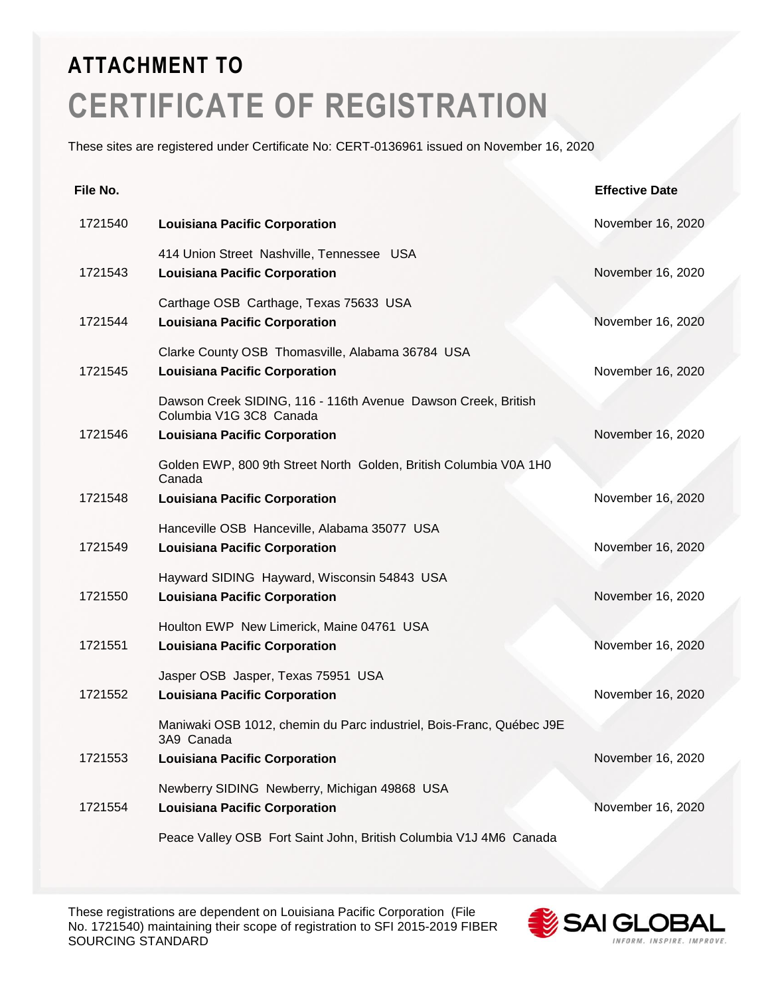These sites are registered under Certificate No: CERT-0136961 issued on November 16, 2020

| File No. |                                                                                          | <b>Effective Date</b> |
|----------|------------------------------------------------------------------------------------------|-----------------------|
| 1721540  | <b>Louisiana Pacific Corporation</b>                                                     | November 16, 2020     |
| 1721543  | 414 Union Street Nashville, Tennessee USA<br><b>Louisiana Pacific Corporation</b>        | November 16, 2020     |
| 1721544  | Carthage OSB Carthage, Texas 75633 USA<br><b>Louisiana Pacific Corporation</b>           | November 16, 2020     |
| 1721545  | Clarke County OSB Thomasville, Alabama 36784 USA<br><b>Louisiana Pacific Corporation</b> | November 16, 2020     |
|          | Dawson Creek SIDING, 116 - 116th Avenue Dawson Creek, British<br>Columbia V1G 3C8 Canada |                       |
| 1721546  | <b>Louisiana Pacific Corporation</b>                                                     | November 16, 2020     |
|          | Golden EWP, 800 9th Street North Golden, British Columbia V0A 1H0<br>Canada              |                       |
| 1721548  | <b>Louisiana Pacific Corporation</b>                                                     | November 16, 2020     |
| 1721549  | Hanceville OSB Hanceville, Alabama 35077 USA<br><b>Louisiana Pacific Corporation</b>     | November 16, 2020     |
| 1721550  | Hayward SIDING Hayward, Wisconsin 54843 USA<br><b>Louisiana Pacific Corporation</b>      | November 16, 2020     |
| 1721551  | Houlton EWP New Limerick, Maine 04761 USA<br><b>Louisiana Pacific Corporation</b>        | November 16, 2020     |
| 1721552  | Jasper OSB Jasper, Texas 75951 USA<br><b>Louisiana Pacific Corporation</b>               | November 16, 2020     |
|          | Maniwaki OSB 1012, chemin du Parc industriel, Bois-Franc, Québec J9E<br>3A9 Canada       |                       |
| 1721553  | <b>Louisiana Pacific Corporation</b>                                                     | November 16, 2020     |
| 1721554  | Newberry SIDING Newberry, Michigan 49868 USA<br><b>Louisiana Pacific Corporation</b>     | November 16, 2020     |
|          | Peace Valley OSB Fort Saint John, British Columbia V1J 4M6 Canada                        |                       |

These registrations are dependent on Louisiana Pacific Corporation (File No. 1721540) maintaining their scope of registration to SFI 2015-2019 FIBER SOURCING STANDARD

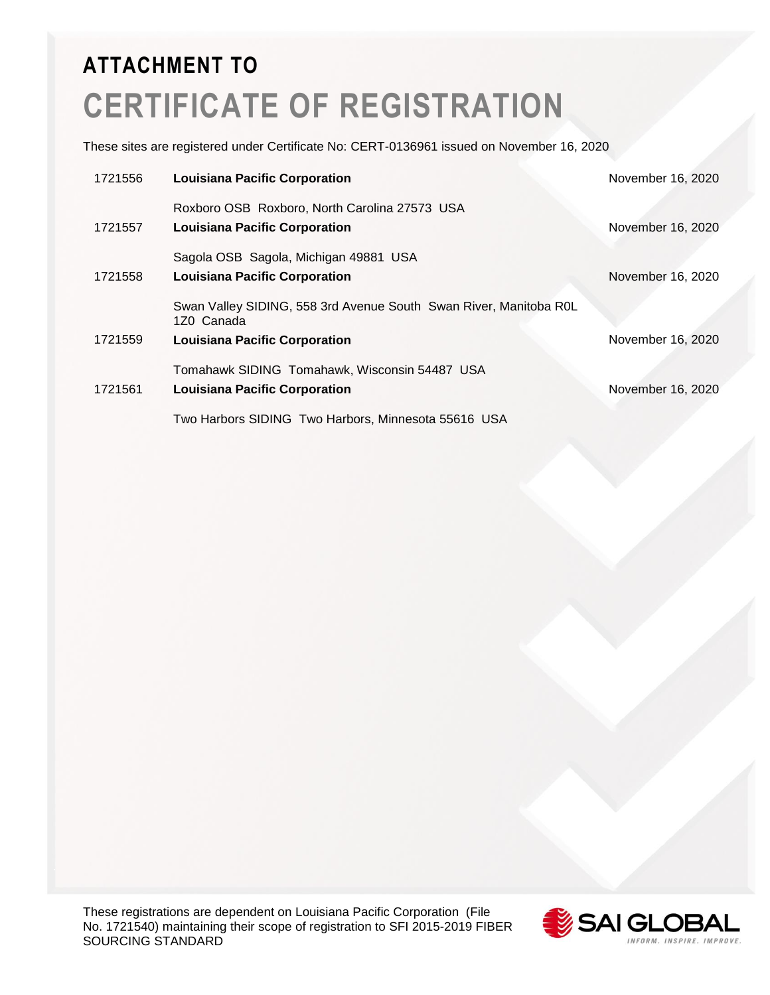These sites are registered under Certificate No: CERT-0136961 issued on November 16, 2020

| 1721556 | <b>Louisiana Pacific Corporation</b>                                            | November 16, 2020 |
|---------|---------------------------------------------------------------------------------|-------------------|
|         | Roxboro OSB Roxboro, North Carolina 27573 USA                                   |                   |
| 1721557 | <b>Louisiana Pacific Corporation</b>                                            | November 16, 2020 |
|         | Sagola OSB Sagola, Michigan 49881 USA                                           |                   |
| 1721558 | <b>Louisiana Pacific Corporation</b>                                            | November 16, 2020 |
|         | Swan Valley SIDING, 558 3rd Avenue South Swan River, Manitoba ROL<br>1Z0 Canada |                   |
| 1721559 | <b>Louisiana Pacific Corporation</b>                                            | November 16, 2020 |
|         | Tomahawk SIDING Tomahawk, Wisconsin 54487 USA                                   |                   |
| 1721561 | <b>Louisiana Pacific Corporation</b>                                            | November 16, 2020 |
|         | Two Harbors SIDING Two Harbors, Minnesota 55616 USA                             |                   |

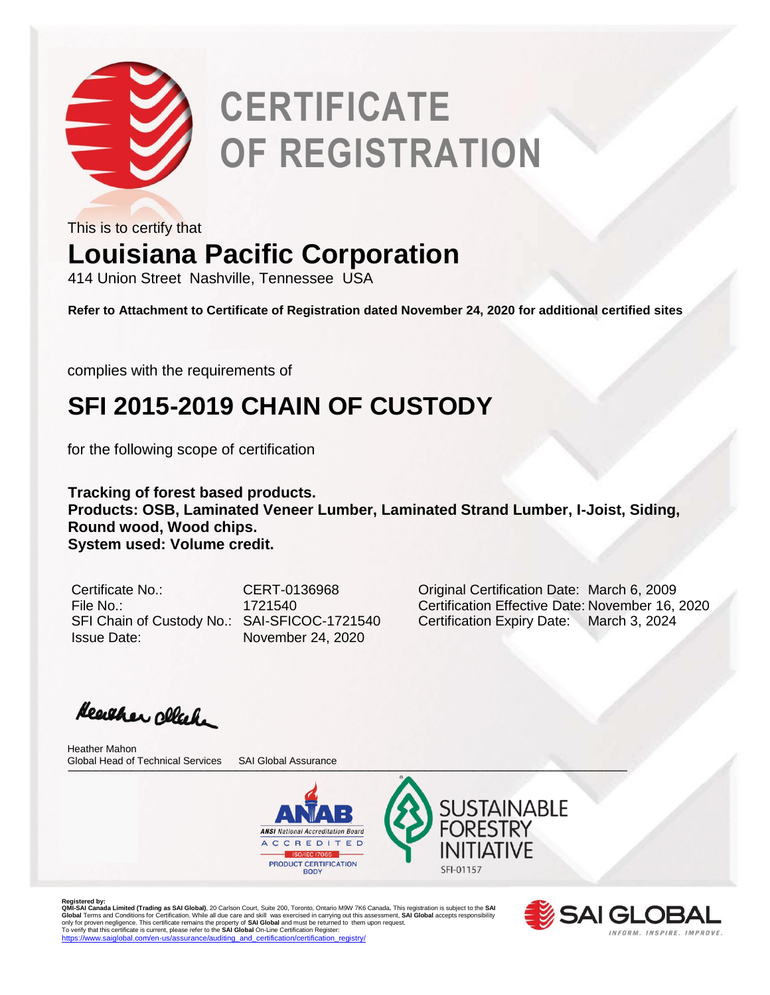

This is to certify that

### **Louisiana Pacific Corporation**

414 Union Street Nashville, Tennessee USA

**Refer to Attachment to Certificate of Registration dated November 24, 2020 for additional certified sites**

complies with the requirements of

## **SFI 2015-2019 CHAIN OF CUSTODY**

for the following scope of certification

**Tracking of forest based products. Products: OSB, Laminated Veneer Lumber, Laminated Strand Lumber, I-Joist, Siding, Round wood, Wood chips. System used: Volume credit.** 

Issue Date: November 24, 2020

Certificate No.: CERT-0136968 Original Certification Date: March 6, 2009 File No.: 1721540 Certification Effective Date: November 16, 2020 SFI Chain of Custody No.: SAI-SFICOC-1721540 Certification Expiry Date: March 3, 2024

Heather click

\_\_\_\_\_\_\_\_\_\_\_\_\_\_\_\_\_\_\_\_\_\_\_\_\_\_\_\_\_\_\_\_\_\_\_\_\_\_\_\_\_\_\_\_\_\_\_\_\_\_\_\_\_\_\_\_\_\_\_\_\_\_\_\_\_\_\_\_\_\_\_\_\_\_\_\_\_\_\_\_ Global Head of Technical Services SAI Global AssuranceHeather Mahon





Registered by:<br>**QMI-SAI Canada Limited (Trading as SAI Global)**, 20 Carlson Court, Suite 200, Toronto, Ontario M9W 7K6 Canada. This registration is subject to the **SAI**<br>Global Terms and Conditions for Certification. While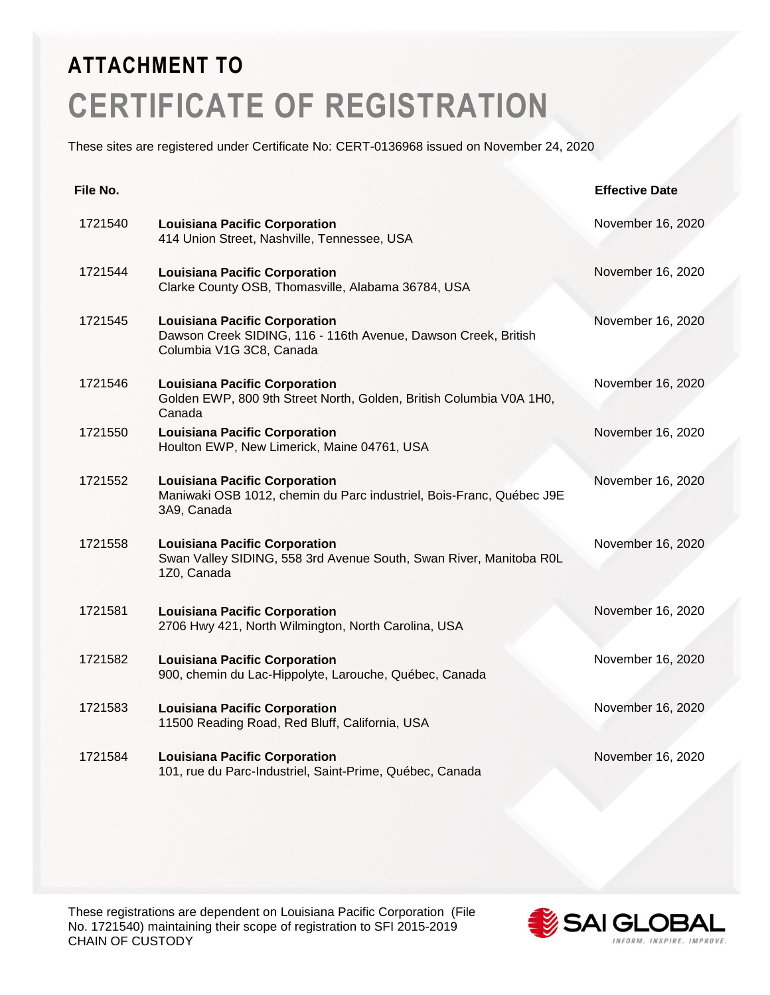These sites are registered under Certificate No: CERT-0136968 issued on November 24, 2020

| File No. |                                                                                                                                    | <b>Effective Date</b> |
|----------|------------------------------------------------------------------------------------------------------------------------------------|-----------------------|
| 1721540  | <b>Louisiana Pacific Corporation</b><br>414 Union Street, Nashville, Tennessee, USA                                                | November 16, 2020     |
| 1721544  | <b>Louisiana Pacific Corporation</b><br>Clarke County OSB, Thomasville, Alabama 36784, USA                                         | November 16, 2020     |
| 1721545  | <b>Louisiana Pacific Corporation</b><br>Dawson Creek SIDING, 116 - 116th Avenue, Dawson Creek, British<br>Columbia V1G 3C8, Canada | November 16, 2020     |
| 1721546  | <b>Louisiana Pacific Corporation</b><br>Golden EWP, 800 9th Street North, Golden, British Columbia V0A 1H0,<br>Canada              | November 16, 2020     |
| 1721550  | <b>Louisiana Pacific Corporation</b><br>Houlton EWP, New Limerick, Maine 04761, USA                                                | November 16, 2020     |
| 1721552  | <b>Louisiana Pacific Corporation</b><br>Maniwaki OSB 1012, chemin du Parc industriel, Bois-Franc, Québec J9E<br>3A9, Canada        | November 16, 2020     |
| 1721558  | <b>Louisiana Pacific Corporation</b><br>Swan Valley SIDING, 558 3rd Avenue South, Swan River, Manitoba R0L<br>1Z0, Canada          | November 16, 2020     |
| 1721581  | <b>Louisiana Pacific Corporation</b><br>2706 Hwy 421, North Wilmington, North Carolina, USA                                        | November 16, 2020     |
| 1721582  | <b>Louisiana Pacific Corporation</b><br>900, chemin du Lac-Hippolyte, Larouche, Québec, Canada                                     | November 16, 2020     |
| 1721583  | <b>Louisiana Pacific Corporation</b><br>11500 Reading Road, Red Bluff, California, USA                                             | November 16, 2020     |
| 1721584  | <b>Louisiana Pacific Corporation</b><br>101, rue du Parc-Industriel, Saint-Prime, Québec, Canada                                   | November 16, 2020     |

These registrations are dependent on Louisiana Pacific Corporation (File No. 1721540) maintaining their scope of registration to SFI 2015-2019 CHAIN OF CUSTODY

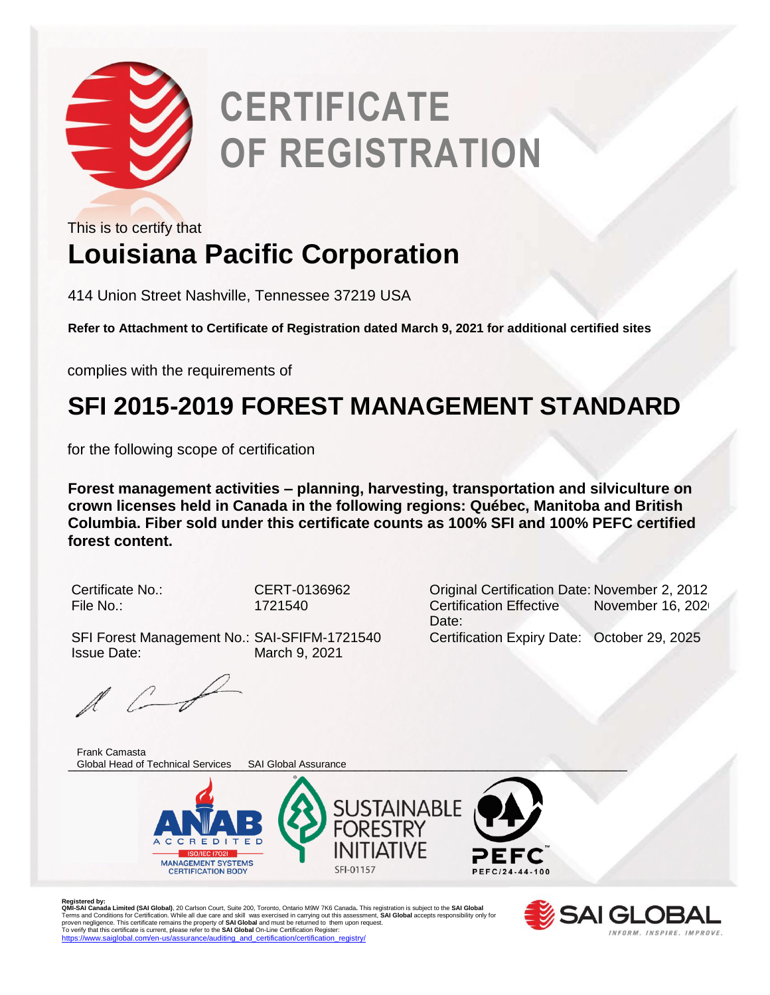

This is to certify that

## **Louisiana Pacific Corporation**

414 Union Street Nashville, Tennessee 37219 USA

**Refer to Attachment to Certificate of Registration dated March 9, 2021 for additional certified sites**

complies with the requirements of

## **SFI 2015-2019 FOREST MANAGEMENT STANDARD**

for the following scope of certification

**Forest management activities – planning, harvesting, transportation and silviculture on crown licenses held in Canada in the following regions: Québec, Manitoba and British Columbia. Fiber sold under this certificate counts as 100% SFI and 100% PEFC certified forest content.** 

SFI Forest Management No.: SAI-SFIFM-1721540 Certification Expiry Date: October 29, 2025 Issue Date: March 9, 2021

Certificate No.: CERT-0136962 Original Certification Date: November 2, 2012 File No.: 1721540 Certification Effective Date: November 16, 202

 $\mathbb{R}$   $\mathbb{C}$ 

\_\_\_\_\_\_\_\_\_\_\_\_\_\_\_\_\_\_\_\_\_\_\_\_\_\_\_\_\_\_\_\_\_\_\_\_\_\_\_\_\_\_\_\_\_\_\_\_\_\_\_\_\_\_\_\_\_\_\_\_\_\_\_\_\_\_\_\_\_\_\_\_\_\_\_\_\_\_\_\_ Global Head of Technical Services SAI Global AssuranceFrank Camasta





Registered by:<br>**QMI-SA Landa Limited (SAI Global)**, 20 Carlson Court, Suite 200, Toronto, Ontario M9W 7K6 Canada. This registration is subject to the **SAI Global**<br>Terms and Conditions for Certification. While all due care

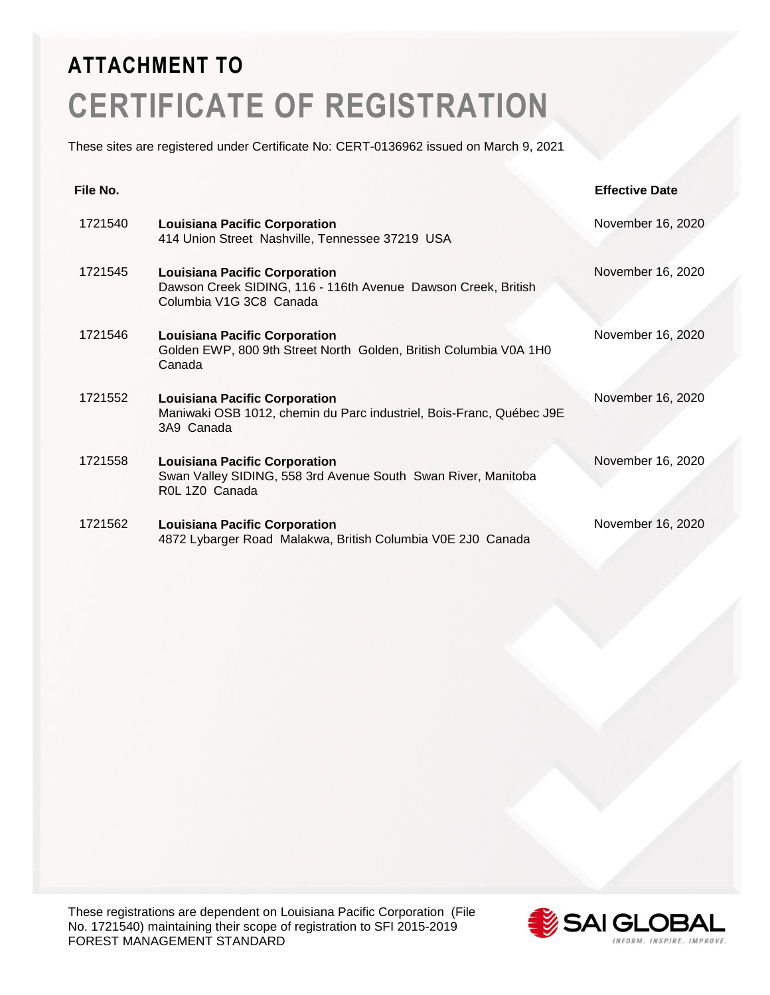These sites are registered under Certificate No: CERT-0136962 issued on March 9, 2021

| File No. |                                                                                                                                  | <b>Effective Date</b> |
|----------|----------------------------------------------------------------------------------------------------------------------------------|-----------------------|
| 1721540  | <b>Louisiana Pacific Corporation</b><br>414 Union Street Nashville, Tennessee 37219 USA                                          | November 16, 2020     |
| 1721545  | <b>Louisiana Pacific Corporation</b><br>Dawson Creek SIDING, 116 - 116th Avenue Dawson Creek, British<br>Columbia V1G 3C8 Canada | November 16, 2020     |
| 1721546  | <b>Louisiana Pacific Corporation</b><br>Golden EWP, 800 9th Street North Golden, British Columbia V0A 1H0<br>Canada              | November 16, 2020     |
| 1721552  | <b>Louisiana Pacific Corporation</b><br>Maniwaki OSB 1012, chemin du Parc industriel, Bois-Franc, Québec J9E<br>3A9 Canada       | November 16, 2020     |
| 1721558  | <b>Louisiana Pacific Corporation</b><br>Swan Valley SIDING, 558 3rd Avenue South Swan River, Manitoba<br>R0L 1Z0 Canada          | November 16, 2020     |
| 1721562  | <b>Louisiana Pacific Corporation</b><br>4872 Lybarger Road Malakwa, British Columbia V0E 2J0 Canada                              | November 16, 2020     |

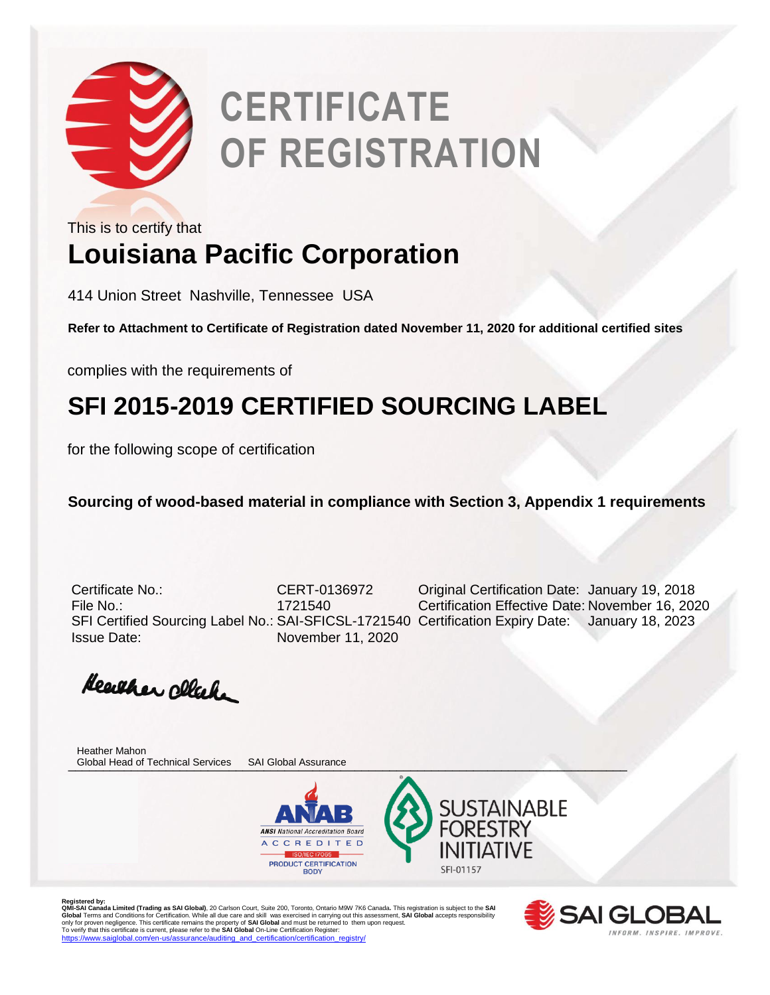

**Louisiana Pacific Corporation** This is to certify that

414 Union Street Nashville, Tennessee USA

**Refer to Attachment to Certificate of Registration dated November 11, 2020 for additional certified sites**

complies with the requirements of

### **SFI 2015-2019 CERTIFIED SOURCING LABEL**

for the following scope of certification

**Sourcing of wood-based material in compliance with Section 3, Appendix 1 requirements** 

Issue Date: November 11, 2020

Certificate No.: CERT-0136972 Original Certification Date: January 19, 2018 File No.: 1721540 Certification Effective Date: November 16, 2020 SFI Certified Sourcing Label No.: SAI-SFICSL-1721540 Certification Expiry Date: January 18, 2023

Heather click

\_\_\_\_\_\_\_\_\_\_\_\_\_\_\_\_\_\_\_\_\_\_\_\_\_\_\_\_\_\_\_\_\_\_\_\_\_\_\_\_\_\_\_\_\_\_\_\_\_\_\_\_\_\_\_\_\_\_\_\_\_\_\_\_\_\_\_\_\_\_\_\_\_\_\_\_\_\_\_\_ Global Head of Technical Services SAI Global AssuranceHeather Mahon





Registered by:<br>**QMI-SAI Canada Limited (Trading as SAI Global)**, 20 Carlson Court, Suite 200, Toronto, Ontario M9W 7K6 Canada. This registration is subject to the **SAI**<br>Global Terms and Conditions for Certification. While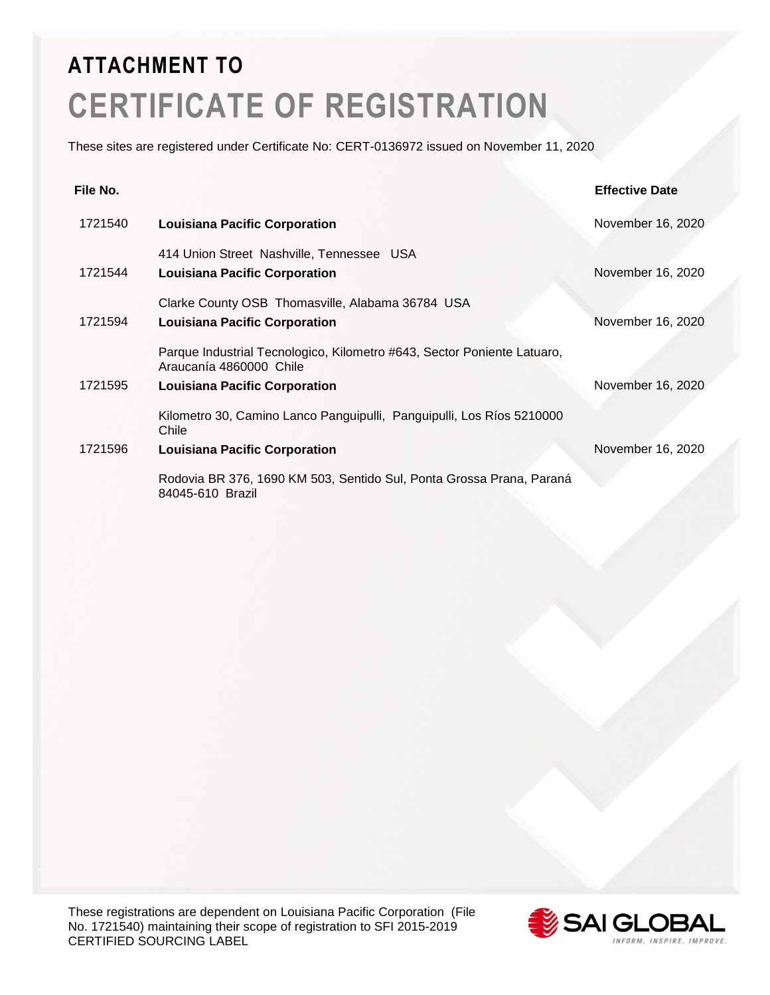These sites are registered under Certificate No: CERT-0136972 issued on November 11, 2020

| File No. |                                                                                                    | <b>Effective Date</b> |
|----------|----------------------------------------------------------------------------------------------------|-----------------------|
| 1721540  | <b>Louisiana Pacific Corporation</b>                                                               | November 16, 2020     |
|          | 414 Union Street Nashville, Tennessee USA                                                          |                       |
| 1721544  | <b>Louisiana Pacific Corporation</b>                                                               | November 16, 2020     |
|          | Clarke County OSB Thomasville, Alabama 36784 USA                                                   |                       |
| 1721594  | <b>Louisiana Pacific Corporation</b>                                                               | November 16, 2020     |
|          | Parque Industrial Tecnologico, Kilometro #643, Sector Poniente Latuaro,<br>Araucanía 4860000 Chile |                       |
| 1721595  | <b>Louisiana Pacific Corporation</b>                                                               | November 16, 2020     |
|          | Kilometro 30, Camino Lanco Panguipulli, Panguipulli, Los Ríos 5210000<br>Chile                     |                       |
| 1721596  | <b>Louisiana Pacific Corporation</b>                                                               | November 16, 2020     |
|          | Rodovia BR 376, 1690 KM 503, Sentido Sul, Ponta Grossa Prana, Paraná<br>84045-610 Brazil           |                       |

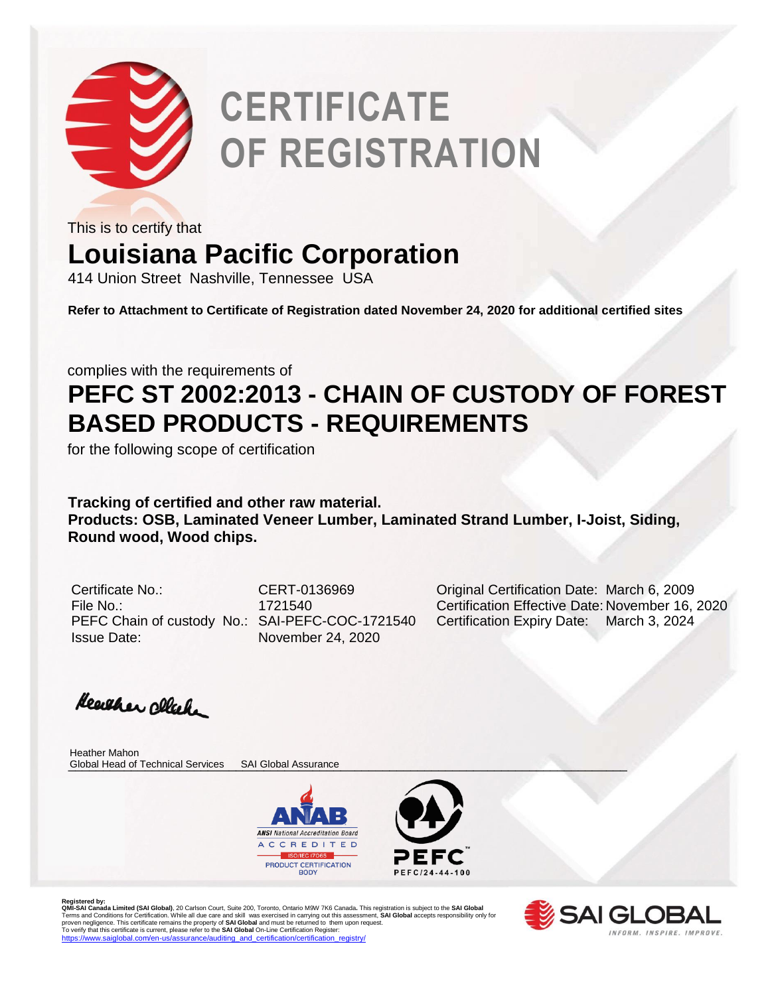

This is to certify that

### **Louisiana Pacific Corporation**

414 Union Street Nashville, Tennessee USA

**Refer to Attachment to Certificate of Registration dated November 24, 2020 for additional certified sites**

complies with the requirements of

### **PEFC ST 2002:2013 - CHAIN OF CUSTODY OF FOREST BASED PRODUCTS - REQUIREMENTS**

for the following scope of certification

**Tracking of certified and other raw material. Products: OSB, Laminated Veneer Lumber, Laminated Strand Lumber, I-Joist, Siding, Round wood, Wood chips.** 

Issue Date: November 24, 2020

Certificate No.: CERT-0136969 Original Certification Date: March 6, 2009 File No.: 1721540 Certification Effective Date: November 16, 2020 PEFC Chain of custody No.: SAI-PEFC-COC-1721540 Certification Expiry Date: March 3, 2024

Heather click

\_\_\_\_\_\_\_\_\_\_\_\_\_\_\_\_\_\_\_\_\_\_\_\_\_\_\_\_\_\_\_\_\_\_\_\_\_\_\_\_\_\_\_\_\_\_\_\_\_\_\_\_\_\_\_\_\_\_\_\_\_\_\_\_\_\_\_\_\_\_\_\_\_\_\_\_\_\_\_\_ Global Head of Technical Services SAI Global AssuranceHeather Mahon





Registered by:<br>**QMI-SA Landa Limited (SAI Global)**, 20 Carlson Court, Suite 200, Toronto, Ontario M9W 7K6 Canada. This registration is subject to the **SAI Global**<br>Terms and Conditions for Certification. While all due care

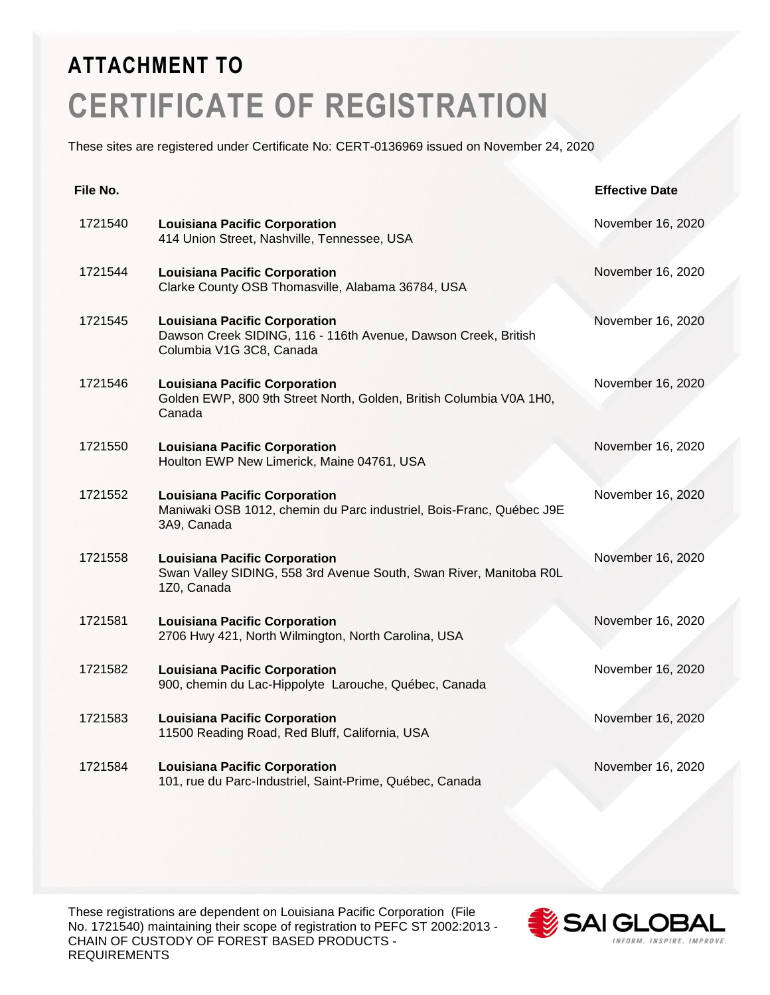These sites are registered under Certificate No: CERT-0136969 issued on November 24, 2020

| File No. |                                                                                                                                    | <b>Effective Date</b> |
|----------|------------------------------------------------------------------------------------------------------------------------------------|-----------------------|
| 1721540  | <b>Louisiana Pacific Corporation</b><br>414 Union Street, Nashville, Tennessee, USA                                                | November 16, 2020     |
| 1721544  | <b>Louisiana Pacific Corporation</b><br>Clarke County OSB Thomasville, Alabama 36784, USA                                          | November 16, 2020     |
| 1721545  | <b>Louisiana Pacific Corporation</b><br>Dawson Creek SIDING, 116 - 116th Avenue, Dawson Creek, British<br>Columbia V1G 3C8, Canada | November 16, 2020     |
| 1721546  | <b>Louisiana Pacific Corporation</b><br>Golden EWP, 800 9th Street North, Golden, British Columbia V0A 1H0,<br>Canada              | November 16, 2020     |
| 1721550  | <b>Louisiana Pacific Corporation</b><br>Houlton EWP New Limerick, Maine 04761, USA                                                 | November 16, 2020     |
| 1721552  | <b>Louisiana Pacific Corporation</b><br>Maniwaki OSB 1012, chemin du Parc industriel, Bois-Franc, Québec J9E<br>3A9, Canada        | November 16, 2020     |
| 1721558  | <b>Louisiana Pacific Corporation</b><br>Swan Valley SIDING, 558 3rd Avenue South, Swan River, Manitoba R0L<br>1Z0, Canada          | November 16, 2020     |
| 1721581  | <b>Louisiana Pacific Corporation</b><br>2706 Hwy 421, North Wilmington, North Carolina, USA                                        | November 16, 2020     |
| 1721582  | <b>Louisiana Pacific Corporation</b><br>900, chemin du Lac-Hippolyte Larouche, Québec, Canada                                      | November 16, 2020     |
| 1721583  | <b>Louisiana Pacific Corporation</b><br>11500 Reading Road, Red Bluff, California, USA                                             | November 16, 2020     |
| 1721584  | <b>Louisiana Pacific Corporation</b><br>101, rue du Parc-Industriel, Saint-Prime, Québec, Canada                                   | November 16, 2020     |

These registrations are dependent on Louisiana Pacific Corporation (File No. 1721540) maintaining their scope of registration to PEFC ST 2002:2013 - CHAIN OF CUSTODY OF FOREST BASED PRODUCTS - REQUIREMENTS